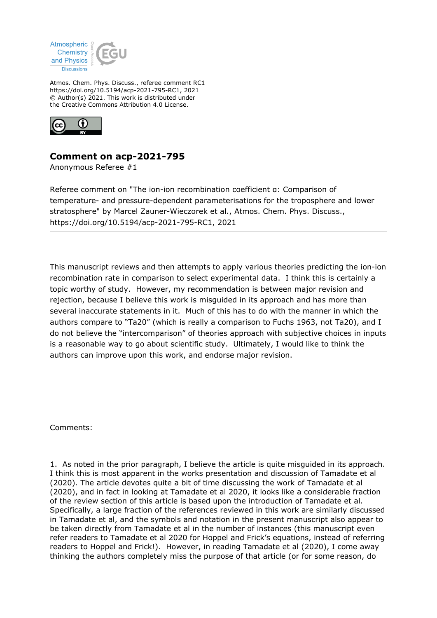

Atmos. Chem. Phys. Discuss., referee comment RC1 https://doi.org/10.5194/acp-2021-795-RC1, 2021 © Author(s) 2021. This work is distributed under the Creative Commons Attribution 4.0 License.



## **Comment on acp-2021-795**

Anonymous Referee #1

Referee comment on "The ion-ion recombination coefficient α: Comparison of temperature- and pressure-dependent parameterisations for the troposphere and lower stratosphere" by Marcel Zauner-Wieczorek et al., Atmos. Chem. Phys. Discuss., https://doi.org/10.5194/acp-2021-795-RC1, 2021

This manuscript reviews and then attempts to apply various theories predicting the ion-ion recombination rate in comparison to select experimental data. I think this is certainly a topic worthy of study. However, my recommendation is between major revision and rejection, because I believe this work is misguided in its approach and has more than several inaccurate statements in it. Much of this has to do with the manner in which the authors compare to "Ta20" (which is really a comparison to Fuchs 1963, not Ta20), and I do not believe the "intercomparison" of theories approach with subjective choices in inputs is a reasonable way to go about scientific study. Ultimately, I would like to think the authors can improve upon this work, and endorse major revision.

Comments:

1. As noted in the prior paragraph, I believe the article is quite misguided in its approach. I think this is most apparent in the works presentation and discussion of Tamadate et al (2020). The article devotes quite a bit of time discussing the work of Tamadate et al (2020), and in fact in looking at Tamadate et al 2020, it looks like a considerable fraction of the review section of this article is based upon the introduction of Tamadate et al. Specifically, a large fraction of the references reviewed in this work are similarly discussed in Tamadate et al, and the symbols and notation in the present manuscript also appear to be taken directly from Tamadate et al in the number of instances (this manuscript even refer readers to Tamadate et al 2020 for Hoppel and Frick's equations, instead of referring readers to Hoppel and Frick!). However, in reading Tamadate et al (2020), I come away thinking the authors completely miss the purpose of that article (or for some reason, do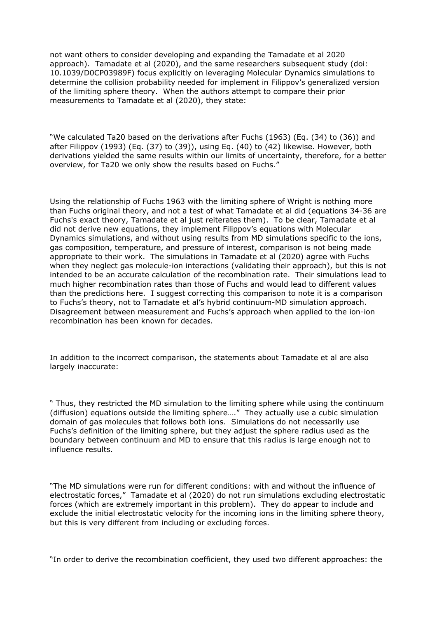not want others to consider developing and expanding the Tamadate et al 2020 approach). Tamadate et al (2020), and the same researchers subsequent study (doi: 10.1039/D0CP03989F) focus explicitly on leveraging Molecular Dynamics simulations to determine the collision probability needed for implement in Filippov's generalized version of the limiting sphere theory. When the authors attempt to compare their prior measurements to Tamadate et al (2020), they state:

"We calculated Ta20 based on the derivations after Fuchs (1963) (Eq. (34) to (36)) and after Filippov (1993) (Eq. (37) to (39)), using Eq. (40) to (42) likewise. However, both derivations yielded the same results within our limits of uncertainty, therefore, for a better overview, for Ta20 we only show the results based on Fuchs."

Using the relationship of Fuchs 1963 with the limiting sphere of Wright is nothing more than Fuchs original theory, and not a test of what Tamadate et al did (equations 34-36 are Fuchs's exact theory, Tamadate et al just reiterates them). To be clear, Tamadate et al did not derive new equations, they implement Filippov's equations with Molecular Dynamics simulations, and without using results from MD simulations specific to the ions, gas composition, temperature, and pressure of interest, comparison is not being made appropriate to their work. The simulations in Tamadate et al (2020) agree with Fuchs when they neglect gas molecule-ion interactions (validating their approach), but this is not intended to be an accurate calculation of the recombination rate. Their simulations lead to much higher recombination rates than those of Fuchs and would lead to different values than the predictions here. I suggest correcting this comparison to note it is a comparison to Fuchs's theory, not to Tamadate et al's hybrid continuum-MD simulation approach. Disagreement between measurement and Fuchs's approach when applied to the ion-ion recombination has been known for decades.

In addition to the incorrect comparison, the statements about Tamadate et al are also largely inaccurate:

" Thus, they restricted the MD simulation to the limiting sphere while using the continuum (diffusion) equations outside the limiting sphere…." They actually use a cubic simulation domain of gas molecules that follows both ions. Simulations do not necessarily use Fuchs's definition of the limiting sphere, but they adjust the sphere radius used as the boundary between continuum and MD to ensure that this radius is large enough not to influence results.

"The MD simulations were run for different conditions: with and without the influence of electrostatic forces," Tamadate et al (2020) do not run simulations excluding electrostatic forces (which are extremely important in this problem). They do appear to include and exclude the initial electrostatic velocity for the incoming ions in the limiting sphere theory, but this is very different from including or excluding forces.

"In order to derive the recombination coefficient, they used two different approaches: the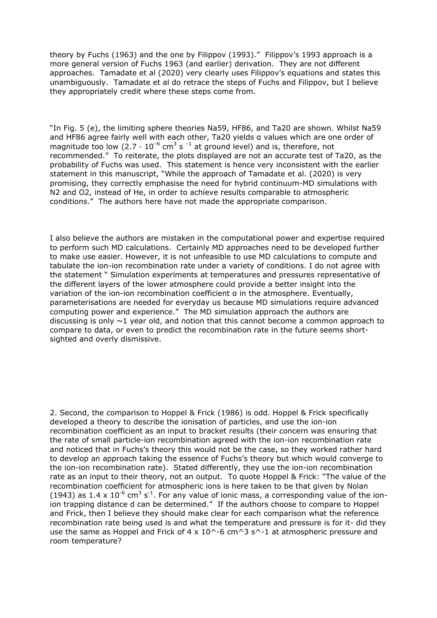theory by Fuchs (1963) and the one by Filippov (1993)." Filippov's 1993 approach is a more general version of Fuchs 1963 (and earlier) derivation. They are not different approaches. Tamadate et al (2020) very clearly uses Filippov's equations and states this unambiguously. Tamadate et al do retrace the steps of Fuchs and Filippov, but I believe they appropriately credit where these steps come from.

"In Fig. 5 (e), the limiting sphere theories Na59, HF86, and Ta20 are shown. Whilst Na59 and HF86 agree fairly well with each other, Ta20 yields α values which are one order of magnitude too low (2.7  $\cdot$  10<sup>-6</sup> cm<sup>3</sup> s <sup>-1</sup> at ground level) and is, therefore, not recommended." To reiterate, the plots displayed are not an accurate test of Ta20, as the probability of Fuchs was used. This statement is hence very inconsistent with the earlier statement in this manuscript, "While the approach of Tamadate et al. (2020) is very promising, they correctly emphasise the need for hybrid continuum-MD simulations with N2 and O2, instead of He, in order to achieve results comparable to atmospheric conditions." The authors here have not made the appropriate comparison.

I also believe the authors are mistaken in the computational power and expertise required to perform such MD calculations. Certainly MD approaches need to be developed further to make use easier. However, it is not unfeasible to use MD calculations to compute and tabulate the ion-ion recombination rate under a variety of conditions. I do not agree with the statement " Simulation experiments at temperatures and pressures representative of the different layers of the lower atmosphere could provide a better insight into the variation of the ion-ion recombination coefficient α in the atmosphere. Eventually, parameterisations are needed for everyday us because MD simulations require advanced computing power and experience." The MD simulation approach the authors are discussing is only  $\sim$ 1 year old, and notion that this cannot become a common approach to compare to data, or even to predict the recombination rate in the future seems shortsighted and overly dismissive.

2. Second, the comparison to Hoppel & Frick (1986) is odd. Hoppel & Frick specifically developed a theory to describe the ionisation of particles, and use the ion-ion recombination coefficient as an input to bracket results (their concern was ensuring that the rate of small particle-ion recombination agreed with the ion-ion recombination rate and noticed that in Fuchs's theory this would not be the case, so they worked rather hard to develop an approach taking the essence of Fuchs's theory but which would converge to the ion-ion recombination rate). Stated differently, they use the ion-ion recombination rate as an input to their theory, not an output. To quote Hoppel & Frick: "The value of the recombination coefficient for atmospheric ions is here taken to be that given by Nolan (1943) as 1.4 x 10<sup>-6</sup> cm<sup>3</sup> s<sup>-1</sup>. For any value of ionic mass, a corresponding value of the ionion trapping distance d can be determined." If the authors choose to compare to Hoppel and Frick, then I believe they should make clear for each comparison what the reference recombination rate being used is and what the temperature and pressure is for it- did they use the same as Hoppel and Frick of 4 x 10^-6 cm^3 s^-1 at atmospheric pressure and room temperature?